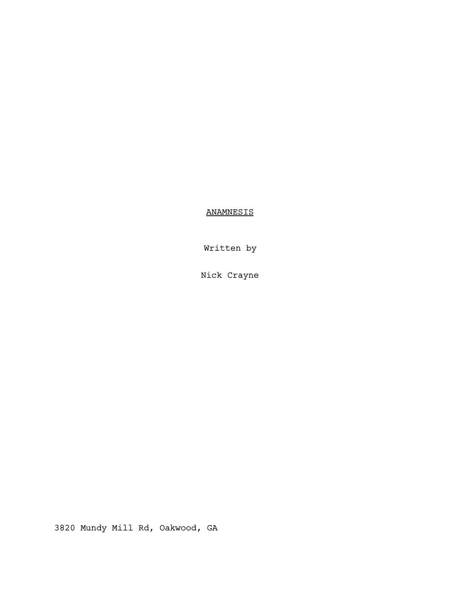ANAMNESIS

Written by

Nick Crayne

3820 Mundy Mill Rd, Oakwood, GA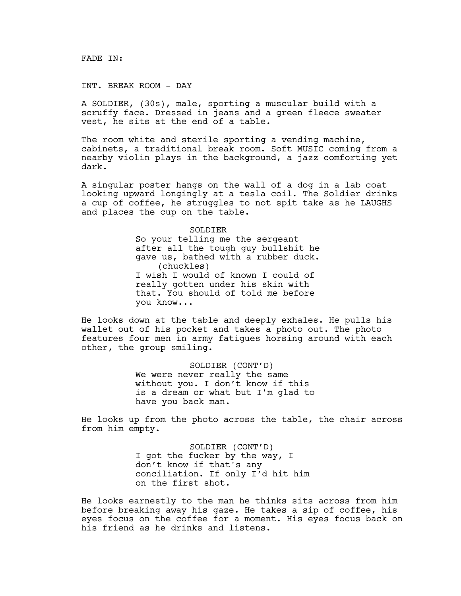FADE IN:

INT. BREAK ROOM - DAY

A SOLDIER, (30s), male, sporting a muscular build with a scruffy face. Dressed in jeans and a green fleece sweater vest, he sits at the end of a table.

The room white and sterile sporting a vending machine, cabinets, a traditional break room. Soft MUSIC coming from a nearby violin plays in the background, a jazz comforting yet dark.

A singular poster hangs on the wall of a dog in a lab coat looking upward longingly at a tesla coil. The Soldier drinks a cup of coffee, he struggles to not spit take as he LAUGHS and places the cup on the table.

> SOLDIER So your telling me the sergeant after all the tough guy bullshit he gave us, bathed with a rubber duck. (chuckles) I wish I would of known I could of really gotten under his skin with that. You should of told me before you know...

He looks down at the table and deeply exhales. He pulls his wallet out of his pocket and takes a photo out. The photo features four men in army fatigues horsing around with each other, the group smiling.

> SOLDIER (CONT'D) We were never really the same without you. I don't know if this is a dream or what but I'm glad to have you back man.

He looks up from the photo across the table, the chair across from him empty.

> SOLDIER (CONT'D) I got the fucker by the way, I don't know if that's any conciliation. If only I'd hit him on the first shot.

He looks earnestly to the man he thinks sits across from him before breaking away his gaze. He takes a sip of coffee, his eyes focus on the coffee for a moment. His eyes focus back on his friend as he drinks and listens.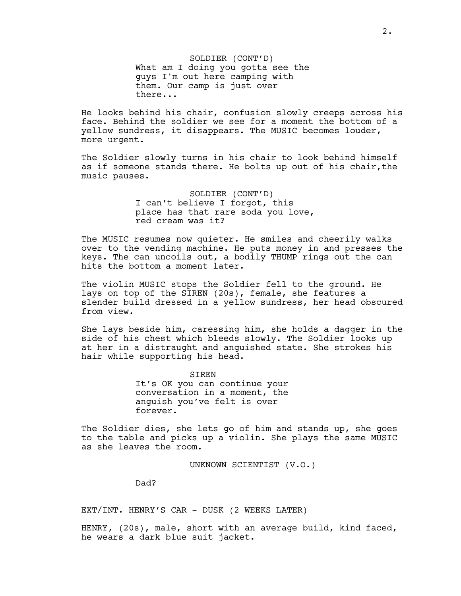SOLDIER (CONT'D) What am I doing you gotta see the guys I'm out here camping with them. Our camp is just over there...

He looks behind his chair, confusion slowly creeps across his face. Behind the soldier we see for a moment the bottom of a yellow sundress, it disappears. The MUSIC becomes louder, more urgent.

The Soldier slowly turns in his chair to look behind himself as if someone stands there. He bolts up out of his chair,the music pauses.

> SOLDIER (CONT'D) I can't believe I forgot, this place has that rare soda you love, red cream was it?

The MUSIC resumes now quieter. He smiles and cheerily walks over to the vending machine. He puts money in and presses the keys. The can uncoils out, a bodily THUMP rings out the can hits the bottom a moment later.

The violin MUSIC stops the Soldier fell to the ground. He lays on top of the SIREN (20s), female, she features a slender build dressed in a yellow sundress, her head obscured from view.

She lays beside him, caressing him, she holds a dagger in the side of his chest which bleeds slowly. The Soldier looks up at her in a distraught and anguished state. She strokes his hair while supporting his head.

> SIREN It's OK you can continue your conversation in a moment, the anguish you've felt is over forever.

The Soldier dies, she lets go of him and stands up, she goes to the table and picks up a violin. She plays the same MUSIC as she leaves the room.

UNKNOWN SCIENTIST (V.O.)

Dad?

EXT/INT. HENRY'S CAR - DUSK (2 WEEKS LATER)

HENRY, (20s), male, short with an average build, kind faced, he wears a dark blue suit jacket.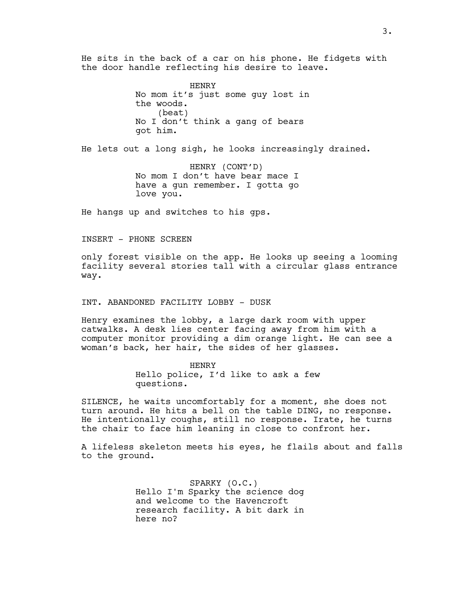He sits in the back of a car on his phone. He fidgets with the door handle reflecting his desire to leave.

> HENRY No mom it's just some guy lost in the woods. (beat) No I don't think a gang of bears got him.

He lets out a long sigh, he looks increasingly drained.

HENRY (CONT'D) No mom I don't have bear mace I have a gun remember. I gotta go love you.

He hangs up and switches to his gps.

INSERT - PHONE SCREEN

only forest visible on the app. He looks up seeing a looming facility several stories tall with a circular glass entrance way.

INT. ABANDONED FACILITY LOBBY - DUSK

Henry examines the lobby, a large dark room with upper catwalks. A desk lies center facing away from him with a computer monitor providing a dim orange light. He can see a woman's back, her hair, the sides of her glasses.

> HENRY Hello police, I'd like to ask a few questions.

SILENCE, he waits uncomfortably for a moment, she does not turn around. He hits a bell on the table DING, no response. He intentionally coughs, still no response. Irate, he turns the chair to face him leaning in close to confront her.

A lifeless skeleton meets his eyes, he flails about and falls to the ground.

> SPARKY (O.C.) Hello I'm Sparky the science dog and welcome to the Havencroft research facility. A bit dark in here no?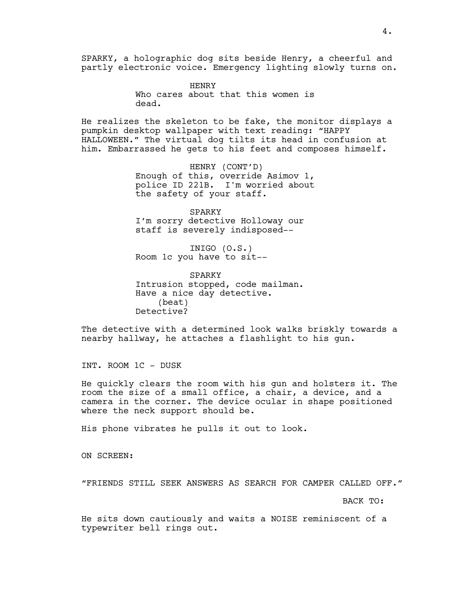SPARKY, a holographic dog sits beside Henry, a cheerful and partly electronic voice. Emergency lighting slowly turns on.

> HENRY Who cares about that this women is dead.

He realizes the skeleton to be fake, the monitor displays a pumpkin desktop wallpaper with text reading: "HAPPY HALLOWEEN." The virtual dog tilts its head in confusion at him. Embarrassed he gets to his feet and composes himself.

> HENRY (CONT'D) Enough of this, override Asimov 1, police ID 221B. I'm worried about the safety of your staff.

SPARKY I'm sorry detective Holloway our staff is severely indisposed--

INIGO (O.S.) Room 1c you have to sit--

SPARKY Intrusion stopped, code mailman. Have a nice day detective. (beat) Detective?

The detective with a determined look walks briskly towards a nearby hallway, he attaches a flashlight to his gun.

INT. ROOM 1C - DUSK

He quickly clears the room with his gun and holsters it. The room the size of a small office, a chair, a device, and a camera in the corner. The device ocular in shape positioned where the neck support should be.

His phone vibrates he pulls it out to look.

ON SCREEN:

"FRIENDS STILL SEEK ANSWERS AS SEARCH FOR CAMPER CALLED OFF."

BACK TO:

He sits down cautiously and waits a NOISE reminiscent of a typewriter bell rings out.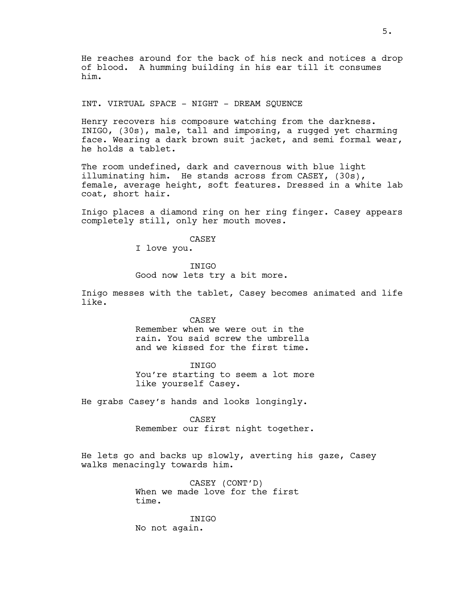He reaches around for the back of his neck and notices a drop of blood. A humming building in his ear till it consumes him.

# INT. VIRTUAL SPACE - NIGHT - DREAM SQUENCE

Henry recovers his composure watching from the darkness. INIGO, (30s), male, tall and imposing, a rugged yet charming face. Wearing a dark brown suit jacket, and semi formal wear, he holds a tablet.

The room undefined, dark and cavernous with blue light illuminating him. He stands across from CASEY, (30s), female, average height, soft features. Dressed in a white lab coat, short hair.

Inigo places a diamond ring on her ring finger. Casey appears completely still, only her mouth moves.

CASEY

I love you.

INIGO Good now lets try a bit more.

Inigo messes with the tablet, Casey becomes animated and life like.

CASEY

Remember when we were out in the rain. You said screw the umbrella and we kissed for the first time.

INIGO You're starting to seem a lot more like yourself Casey.

He grabs Casey's hands and looks longingly.

CASEY Remember our first night together.

He lets go and backs up slowly, averting his gaze, Casey walks menacingly towards him.

> CASEY (CONT'D) When we made love for the first time.

INIGO No not again.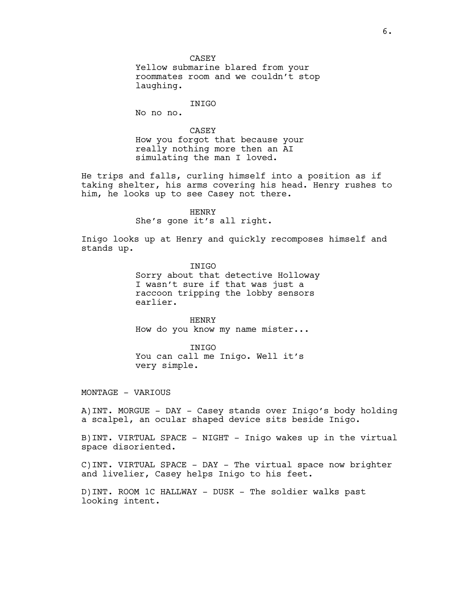CASEY

Yellow submarine blared from your roommates room and we couldn't stop laughing.

### INIGO

No no no.

# CASEY

How you forgot that because your really nothing more then an AI simulating the man I loved.

He trips and falls, curling himself into a position as if taking shelter, his arms covering his head. Henry rushes to him, he looks up to see Casey not there.

> **HENRY** She's gone it's all right.

Inigo looks up at Henry and quickly recomposes himself and stands up.

> INIGO Sorry about that detective Holloway I wasn't sure if that was just a raccoon tripping the lobby sensors earlier.

HENRY How do you know my name mister...

INIGO You can call me Inigo. Well it's very simple.

MONTAGE – VARIOUS

A)INT. MORGUE - DAY - Casey stands over Inigo's body holding a scalpel, an ocular shaped device sits beside Inigo.

B)INT. VIRTUAL SPACE - NIGHT - Inigo wakes up in the virtual space disoriented.

C)INT. VIRTUAL SPACE - DAY - The virtual space now brighter and livelier, Casey helps Inigo to his feet.

D)INT. ROOM 1C HALLWAY - DUSK - The soldier walks past looking intent.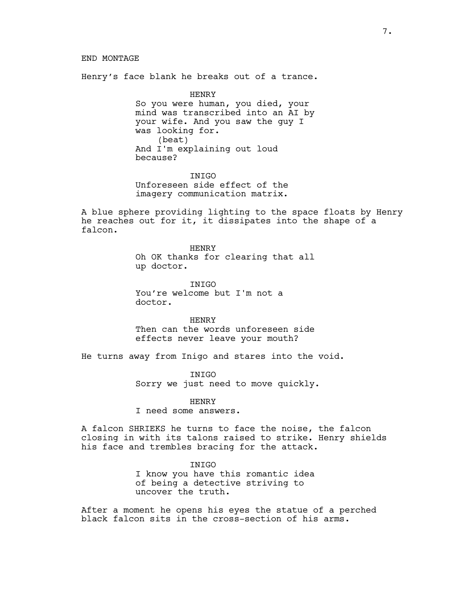#### END MONTAGE

Henry's face blank he breaks out of a trance.

HENRY So you were human, you died, your mind was transcribed into an AI by your wife. And you saw the guy I was looking for. (beat) And I'm explaining out loud because?

**INIGO** Unforeseen side effect of the imagery communication matrix.

A blue sphere providing lighting to the space floats by Henry he reaches out for it, it dissipates into the shape of a falcon.

> **HENRY** Oh OK thanks for clearing that all up doctor.

INIGO You're welcome but I'm not a doctor.

**HENRY** Then can the words unforeseen side effects never leave your mouth?

He turns away from Inigo and stares into the void.

**INIGO** Sorry we just need to move quickly.

**HENRY** 

I need some answers.

A falcon SHRIEKS he turns to face the noise, the falcon closing in with its talons raised to strike. Henry shields his face and trembles bracing for the attack.

> INIGO I know you have this romantic idea of being a detective striving to uncover the truth.

After a moment he opens his eyes the statue of a perched black falcon sits in the cross-section of his arms.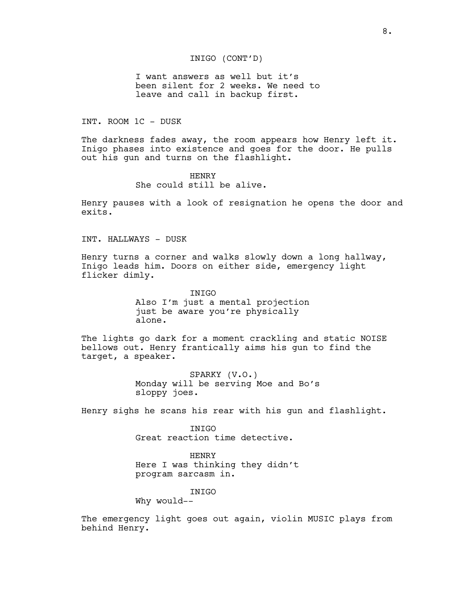### INIGO (CONT'D)

I want answers as well but it's been silent for 2 weeks. We need to leave and call in backup first.

#### INT. ROOM 1C - DUSK

The darkness fades away, the room appears how Henry left it. Inigo phases into existence and goes for the door. He pulls out his gun and turns on the flashlight.

> HENRY She could still be alive.

Henry pauses with a look of resignation he opens the door and exits.

INT. HALLWAYS - DUSK

Henry turns a corner and walks slowly down a long hallway, Inigo leads him. Doors on either side, emergency light flicker dimly.

> INIGO Also I'm just a mental projection just be aware you're physically alone.

The lights go dark for a moment crackling and static NOISE bellows out. Henry frantically aims his gun to find the target, a speaker.

> SPARKY (V.O.) Monday will be serving Moe and Bo's sloppy joes.

Henry sighs he scans his rear with his gun and flashlight.

INIGO Great reaction time detective.

**HENRY** Here I was thinking they didn't program sarcasm in.

INIGO Why would--

The emergency light goes out again, violin MUSIC plays from behind Henry.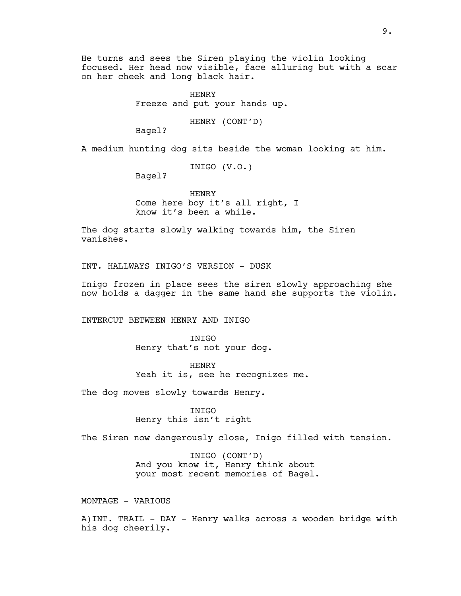He turns and sees the Siren playing the violin looking focused. Her head now visible, face alluring but with a scar on her cheek and long black hair.

> HENRY Freeze and put your hands up.

> > HENRY (CONT'D)

Bagel?

A medium hunting dog sits beside the woman looking at him.

INIGO (V.O.)

Bagel?

**HENRY** Come here boy it's all right, I know it's been a while.

The dog starts slowly walking towards him, the Siren vanishes.

INT. HALLWAYS INIGO'S VERSION - DUSK

Inigo frozen in place sees the siren slowly approaching she now holds a dagger in the same hand she supports the violin.

INTERCUT BETWEEN HENRY AND INIGO

INIGO Henry that's not your dog.

HENRY Yeah it is, see he recognizes me.

The dog moves slowly towards Henry.

INIGO Henry this isn't right

The Siren now dangerously close, Inigo filled with tension.

INIGO (CONT'D) And you know it, Henry think about your most recent memories of Bagel.

MONTAGE – VARIOUS

A)INT. TRAIL - DAY - Henry walks across a wooden bridge with his dog cheerily.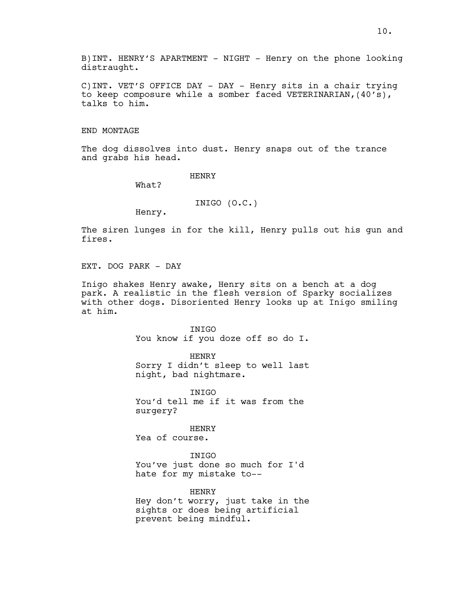B)INT. HENRY'S APARTMENT - NIGHT - Henry on the phone looking distraught.

C)INT. VET'S OFFICE DAY - DAY - Henry sits in a chair trying to keep composure while a somber faced VETERINARIAN,(40's), talks to him.

END MONTAGE

The dog dissolves into dust. Henry snaps out of the trance and grabs his head.

HENRY

What?

INIGO (O.C.)

Henry.

The siren lunges in for the kill, Henry pulls out his gun and fires.

EXT. DOG PARK - DAY

Inigo shakes Henry awake, Henry sits on a bench at a dog park. A realistic in the flesh version of Sparky socializes with other dogs. Disoriented Henry looks up at Inigo smiling at him.

> INIGO You know if you doze off so do I.

> **HENRY** Sorry I didn't sleep to well last night, bad nightmare.

**TNTGO** You'd tell me if it was from the surgery?

HENRY Yea of course.

INIGO You've just done so much for I'd hate for my mistake to--

HENRY Hey don't worry, just take in the sights or does being artificial prevent being mindful.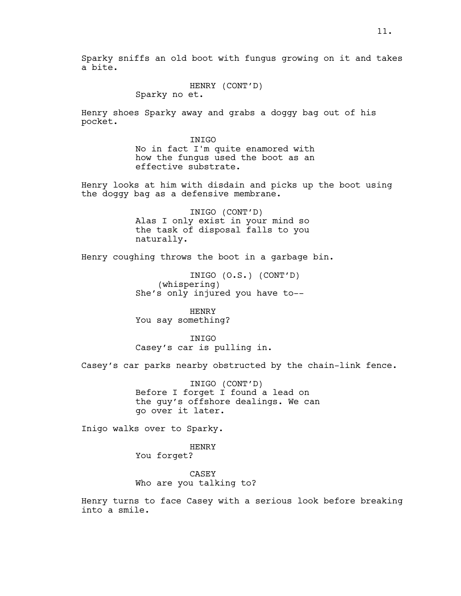Sparky sniffs an old boot with fungus growing on it and takes a bite.

> HENRY (CONT'D) Sparky no et.

Henry shoes Sparky away and grabs a doggy bag out of his pocket.

> INIGO No in fact I'm quite enamored with how the fungus used the boot as an effective substrate.

Henry looks at him with disdain and picks up the boot using the doggy bag as a defensive membrane.

> INIGO (CONT'D) Alas I only exist in your mind so the task of disposal falls to you naturally.

Henry coughing throws the boot in a garbage bin.

INIGO (O.S.) (CONT'D) (whispering) She's only injured you have to--

**HENRY** You say something?

**TNTGO** Casey's car is pulling in.

Casey's car parks nearby obstructed by the chain-link fence.

INIGO (CONT'D) Before I forget I found a lead on the guy's offshore dealings. We can go over it later.

Inigo walks over to Sparky.

HENRY You forget?

CASEY Who are you talking to?

Henry turns to face Casey with a serious look before breaking into a smile.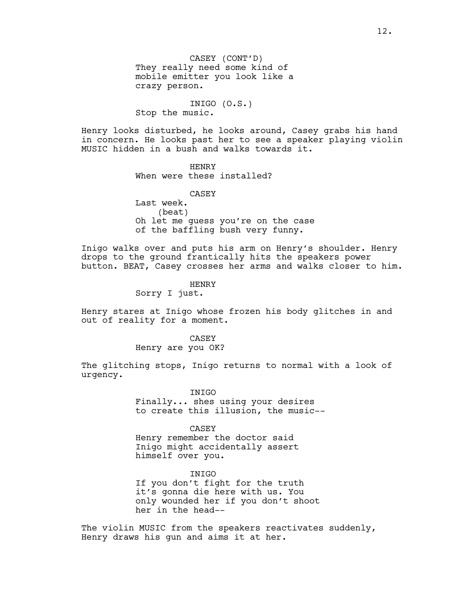INIGO (O.S.) Stop the music.

Henry looks disturbed, he looks around, Casey grabs his hand in concern. He looks past her to see a speaker playing violin MUSIC hidden in a bush and walks towards it.

> HENRY When were these installed?

CASEY Last week. (beat) Oh let me guess you're on the case of the baffling bush very funny.

Inigo walks over and puts his arm on Henry's shoulder. Henry drops to the ground frantically hits the speakers power button. BEAT, Casey crosses her arms and walks closer to him.

HENRY

Sorry I just.

Henry stares at Inigo whose frozen his body glitches in and out of reality for a moment.

> CASEY Henry are you OK?

The glitching stops, Inigo returns to normal with a look of urgency.

> INIGO Finally... shes using your desires to create this illusion, the music--

CASEY Henry remember the doctor said Inigo might accidentally assert himself over you.

INIGO If you don't fight for the truth it's gonna die here with us. You only wounded her if you don't shoot her in the head--

The violin MUSIC from the speakers reactivates suddenly, Henry draws his gun and aims it at her.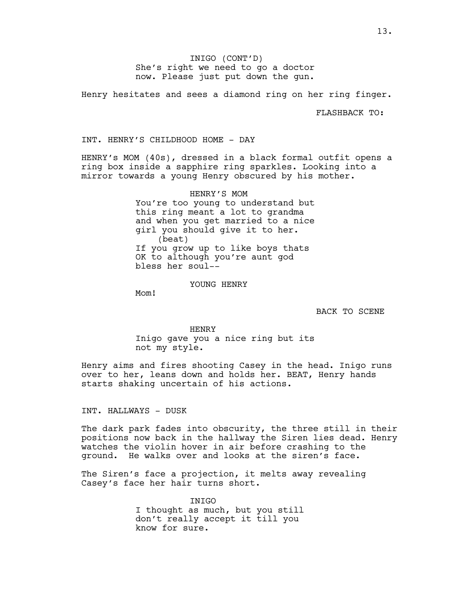INIGO (CONT'D) She's right we need to go a doctor now. Please just put down the gun.

Henry hesitates and sees a diamond ring on her ring finger.

FLASHBACK TO:

INT. HENRY'S CHILDHOOD HOME - DAY

HENRY's MOM (40s), dressed in a black formal outfit opens a ring box inside a sapphire ring sparkles. Looking into a mirror towards a young Henry obscured by his mother.

> HENRY'S MOM You're too young to understand but this ring meant a lot to grandma and when you get married to a nice girl you should give it to her. (beat) If you grow up to like boys thats OK to although you're aunt god bless her soul--

> > YOUNG HENRY

Mom!

BACK TO SCENE

HENRY Inigo gave you a nice ring but its not my style.

Henry aims and fires shooting Casey in the head. Inigo runs over to her, leans down and holds her. BEAT, Henry hands starts shaking uncertain of his actions.

INT. HALLWAYS - DUSK

The dark park fades into obscurity, the three still in their positions now back in the hallway the Siren lies dead. Henry watches the violin hover in air before crashing to the ground. He walks over and looks at the siren's face.

The Siren's face a projection, it melts away revealing Casey's face her hair turns short.

> INIGO I thought as much, but you still don't really accept it till you know for sure.